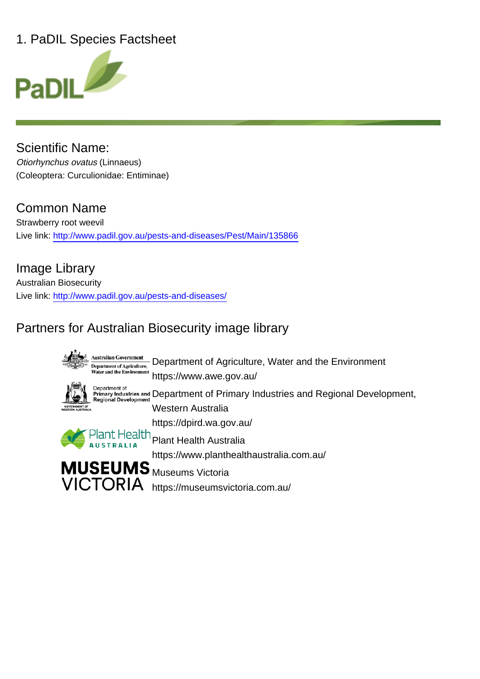### 1. PaDIL Species Factsheet



Scientific Name: Otiorhynchus ovatus (Linnaeus) (Coleoptera: Curculionidae: Entiminae)

# Common Name

Strawberry root weevil Live link: http://www.padil.gov.au/pests-and-diseases/Pest/Main/135866

Image Library Australian Biosecurity Live link: http://www.padil.gov.au/pests-and-diseases/

# Partners for Australian Biosecurity image library

**Australian Government** Department of Agriculture, Water and the Environment **Department of Agriculture,**<br>Water and the Environment https://www.awe.gov.au/ Denartment of Department or<br>Primary Industries and Department of Primary Industries and Regional Development,<br>Regional Development Western Australia https://dpird.wa.gov.au/ Plant Health<br>Plant Health Australia https://www.planthealthaustralia.com.au/ **MUSEUMS** Museums Victoria

VICTORIA https://museumsvictoria.com.au/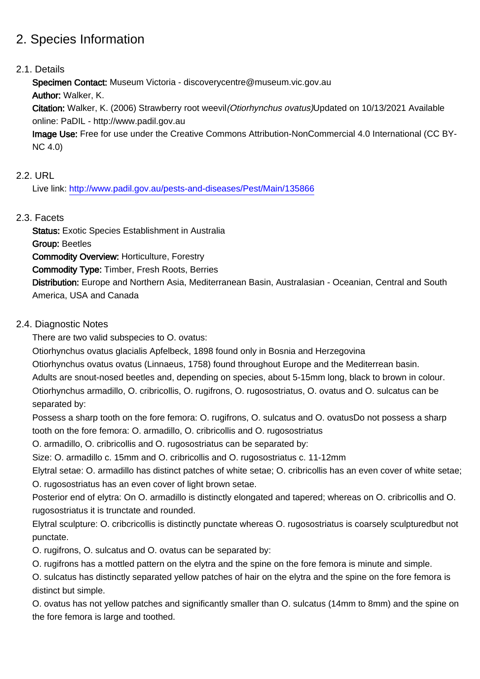### 2. Species Information

#### 2.1. Details

Specimen Contact: Museum Victoria - discoverycentre@museum.vic.gov.au

Author: Walker, K.

Citation: Walker, K. (2006) Strawberry root weevil(Otiorhynchus ovatus)Updated on 10/13/2021 Available online: PaDIL - http://www.padil.gov.au

Image Use: Free for use under the Creative Commons Attribution-NonCommercial 4.0 International (CC BY-NC 4.0)

#### 2.2. URL

Live link: http://www.padil.gov.au/pests-and-diseases/Pest/Main/135866

#### 2.3. Facets

Status: Exotic Species Establishment in Australia Group: Beetles Commodity Overview: Horticulture, Forestry Commodity Type: Timber, Fresh Roots, Berries Distribution: Europe and Northern Asia, Mediterranean Basin, Australasian - Oceanian, Central and South America, USA and Canada

#### 2.4. Diagnostic Notes

There are two valid subspecies to O. ovatus:

Otiorhynchus ovatus glacialis Apfelbeck, 1898 found only in Bosnia and Herzegovina

Otiorhynchus ovatus ovatus (Linnaeus, 1758) found throughout Europe and the Mediterrean basin. Adults are snout-nosed beetles and, depending on species, about 5-15mm long, black to brown in colour. Otiorhynchus armadillo, O. cribricollis, O. rugifrons, O. rugosostriatus, O. ovatus and O. sulcatus can be

separated by:

Possess a sharp tooth on the fore femora: O. rugifrons, O. sulcatus and O. ovatusDo not possess a sharp tooth on the fore femora: O. armadillo, O. cribricollis and O. rugosostriatus

O. armadillo, O. cribricollis and O. rugosostriatus can be separated by:

Size: O. armadillo c. 15mm and O. cribricollis and O. rugosostriatus c. 11-12mm

Elytral setae: O. armadillo has distinct patches of white setae; O. cribricollis has an even cover of white setae; O. rugosostriatus has an even cover of light brown setae.

Posterior end of elytra: On O. armadillo is distinctly elongated and tapered; whereas on O. cribricollis and O. rugosostriatus it is trunctate and rounded.

Elytral sculpture: O. cribcricollis is distinctly punctate whereas O. rugosostriatus is coarsely sculpturedbut not punctate.

O. rugifrons, O. sulcatus and O. ovatus can be separated by:

O. rugifrons has a mottled pattern on the elytra and the spine on the fore femora is minute and simple.

O. sulcatus has distinctly separated yellow patches of hair on the elytra and the spine on the fore femora is distinct but simple.

O. ovatus has not yellow patches and significantly smaller than O. sulcatus (14mm to 8mm) and the spine on the fore femora is large and toothed.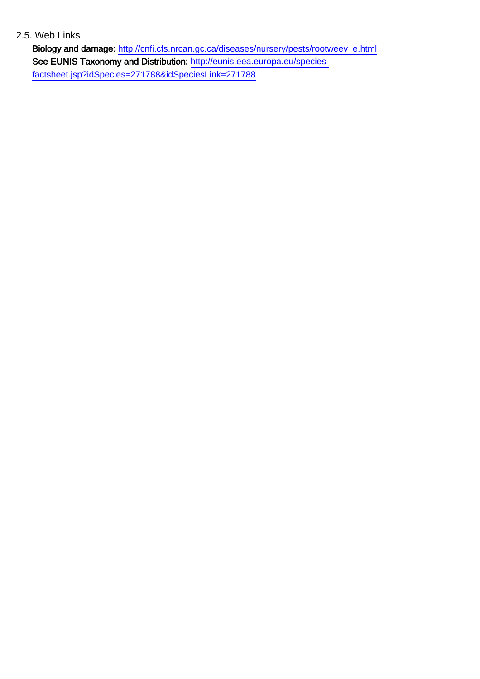#### 2.5. Web Links

Biology and damage: http://cnfi.cfs.nrcan.gc.ca/diseases/nursery/pests/rootweev\_e.html See EUNIS Taxonomy and Distribution: http://eunis.eea.europa.eu/speciesfactsheet.jsp?idSpecies=271788&idSpeciesLink=271788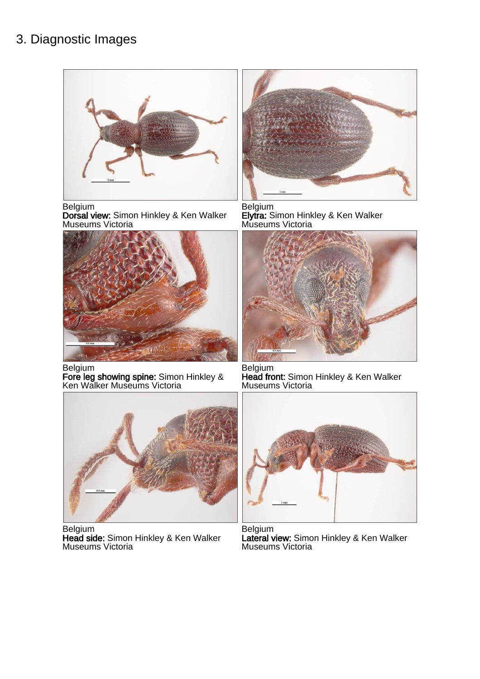### 3. Diagnostic Images



Belgium

Dorsal view: Simon Hinkley & Ken Walker Museums Victoria



Belgium

Fore leg showing spine: Simon Hinkley & Ken Walker Museums Victoria



Belgium Head side: Simon Hinkley & Ken Walker Museums Victoria



Belgium Elytra: Simon Hinkley & Ken Walker Museums Victoria



Belgium Head front: Simon Hinkley & Ken Walker Museums Victoria



Belgium Lateral view: Simon Hinkley & Ken Walker Museums Victoria